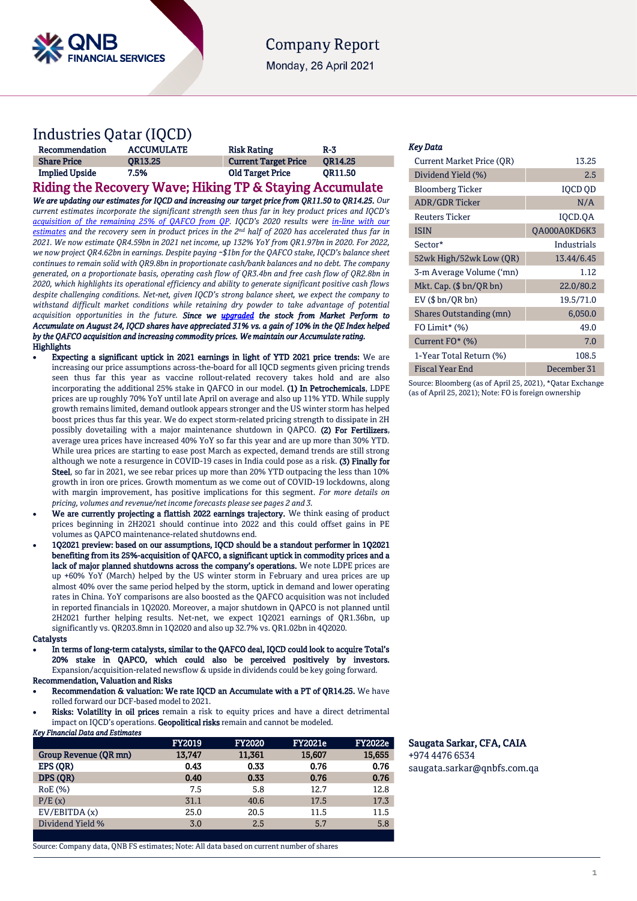

## **Company Report**

Monday, 26 April 2021

# Industries Qatar (IQCD)

| Recommendation        | <b>ACCUMULATE</b>    | <b>Risk Rating</b>          | $R-3$          |
|-----------------------|----------------------|-----------------------------|----------------|
| <b>Share Price</b>    | <b>OR13.25</b>       | <b>Current Target Price</b> | <b>OR14.25</b> |
| <b>Implied Upside</b> | 7.5%<br>_____<br>___ | <b>Old Target Price</b>     | OR11.50        |

Riding the Recovery Wave; Hiking TP & Staying Accumulate *We are updating our estimates for IQCD and increasing our target price from QR11.50 to QR14.25. Our* 

*current estimates incorporate the significant strength seen thus far in key product prices and IQCD's [acquisition of the remaining 25% of QAFCO from QP.](https://www.qnb.com/sites/qnb/qnbfs/document/en/IQCD-06-09-2020) IQCD's 2020 results were [in-line with our](https://www.qnb.com/sites/qnb/qnbfs/document/en/IQCD-10-02-2021)  [estimates](https://www.qnb.com/sites/qnb/qnbfs/document/en/IQCD-10-02-2021) and the recovery seen in product prices in the 2nd half of 2020 has accelerated thus far in 2021. We now estimate QR4.59bn in 2021 net income, up 132% YoY from QR1.97bn in 2020. For 2022, we now project QR4.62bn in earnings. Despite paying ~\$1bn for the QAFCO stake, IQCD's balance sheet continues to remain solid with QR9.8bn in proportionate cash/bank balances and no debt. The company generated, on a proportionate basis, operating cash flow of QR3.4bn and free cash flow of QR2.8bn in 2020, which highlights its operational efficiency and ability to generate significant positive cash flows despite challenging conditions. Net-net, given IQCD's strong balance sheet, we expect the company to withstand difficult market conditions while retaining dry powder to take advantage of potential acquisition opportunities in the future. Since we [upgraded](https://www.qnb.com/sites/qnb/qnbfs/document/en/IQCD-24-08-2020) the stock from Market Perform to Accumulate on August 24, IQCD shares have appreciated 31% vs. a gain of 10% in the QE Index helped by the QAFCO acquisition and increasing commodity prices. We maintain our Accumulate rating.* **Highlights** 

- Expecting a significant uptick in 2021 earnings in light of YTD 2021 price trends: We are increasing our price assumptions across-the-board for all IQCD segments given pricing trends seen thus far this year as vaccine rollout-related recovery takes hold and are also incorporating the additional 25% stake in QAFCO in our model. (1) In Petrochemicals, LDPE prices are up roughly 70% YoY until late April on average and also up 11% YTD. While supply growth remains limited, demand outlook appears stronger and the US winter storm has helped boost prices thus far this year. We do expect storm-related pricing strength to dissipate in 2H possibly dovetailing with a major maintenance shutdown in QAPCO. (2) For Fertilizers, average urea prices have increased 40% YoY so far this year and are up more than 30% YTD. While urea prices are starting to ease post March as expected, demand trends are still strong although we note a resurgence in COVID-19 cases in India could pose as a risk. (3) Finally for Steel, so far in 2021, we see rebar prices up more than 20% YTD outpacing the less than 10% growth in iron ore prices. Growth momentum as we come out of COVID-19 lockdowns, along with margin improvement, has positive implications for this segment. *For more details on pricing, volumes and revenue/net income forecasts please see pages 2 and 3.*
- We are currently projecting a flattish 2022 earnings trajectory. We think easing of product prices beginning in 2H2021 should continue into 2022 and this could offset gains in PE volumes as QAPCO maintenance-related shutdowns end.
- 1Q2021 preview: based on our assumptions, IQCD should be a standout performer in 1Q2021 benefiting from its 25%-acquisition of QAFCO, a significant uptick in commodity prices and a lack of major planned shutdowns across the company's operations. We note LDPE prices are up +60% YoY (March) helped by the US winter storm in February and urea prices are up almost 40% over the same period helped by the storm, uptick in demand and lower operating rates in China. YoY comparisons are also boosted as the QAFCO acquisition was not included in reported financials in 1Q2020. Moreover, a major shutdown in QAPCO is not planned until 2H2021 further helping results. Net-net, we expect 1Q2021 earnings of QR1.36bn, up significantly vs. QR203.8mn in 1Q2020 and also up 32.7% vs. QR1.02bn in 4Q2020.

#### **Catalysts**

 In terms of long-term catalysts, similar to the QAFCO deal, IQCD could look to acquire Total's 20% stake in QAPCO, which could also be perceived positively by investors. Expansion/acquisition-related newsflow & upside in dividends could be key going forward. Recommendation, Valuation and Risks

 Recommendation & valuation: We rate IQCD an Accumulate with a PT of QR14.25. We have rolled forward our DCF-based model to 2021.

Risks: Volatility in oil prices remain a risk to equity prices and have a direct detrimental impact on IQCD's operations. Geopolitical risks remain and cannot be modeled. *Key Financial Data and Estimates* 

|                       | <b>FY2019</b> | <b>FY2020</b> | <b>FY2021e</b> | <b>FY2022e</b> |
|-----------------------|---------------|---------------|----------------|----------------|
| Group Revenue (OR mn) | 13,747        | 11,361        | 15,607         | 15,655         |
| EPS (OR)              | 0.43          | 0.33          | 0.76           | 0.76           |
| DPS (OR)              | 0.40          | 0.33          | 0.76           | 0.76           |
| RoE (%)               | 7.5           | 5.8           | 12.7           | 12.8           |
| P/E(x)                | 31.1          | 40.6          | 17.5           | 17.3           |
| EV/EBITDA(x)          | 25.0          | 20.5          | 11.5           | 11.5           |
| Dividend Yield %      | 3.0           | 2.5           | 5.7            | 5.8            |
|                       |               |               |                |                |

#### Source: Company data, QNB FS estimates; Note: All data based on current number of shares

### *Key Data*

| Current Market Price (QR) | 13.25        |
|---------------------------|--------------|
| Dividend Yield (%)        | 2.5          |
| <b>Bloomberg Ticker</b>   | IOCD OD      |
| <b>ADR/GDR Ticker</b>     | N/A          |
| <b>Reuters Ticker</b>     | IQCD.QA      |
| <b>ISIN</b>               | OA000A0KD6K3 |
| Sector*                   | Industrials  |
| 52wk High/52wk Low (QR)   | 13.44/6.45   |
| 3-m Average Volume ('mn)  | 1.12         |
| Mkt. Cap. (\$ bn/QR bn)   | 22.0/80.2    |
| $EV$ ( $$bn/QR bn$ )      | 19.5/71.0    |
| Shares Outstanding (mn)   | 6,050.0      |
| FO Limit* $(\%)$          | 49.0         |
| Current FO* (%)           | 7.0          |
| 1-Year Total Return (%)   | 108.5        |
| <b>Fiscal Year End</b>    | December 31  |
|                           |              |

Source: Bloomberg (as of April 25, 2021), \*Qatar Exchange (as of April 25, 2021); Note: FO is foreign ownership

## Saugata Sarkar, CFA, CAIA

+974 4476 6534 [saugata.sarkar@qnbfs.com.qa](mailto:saugata.sarkar@qnbfs.com.qa)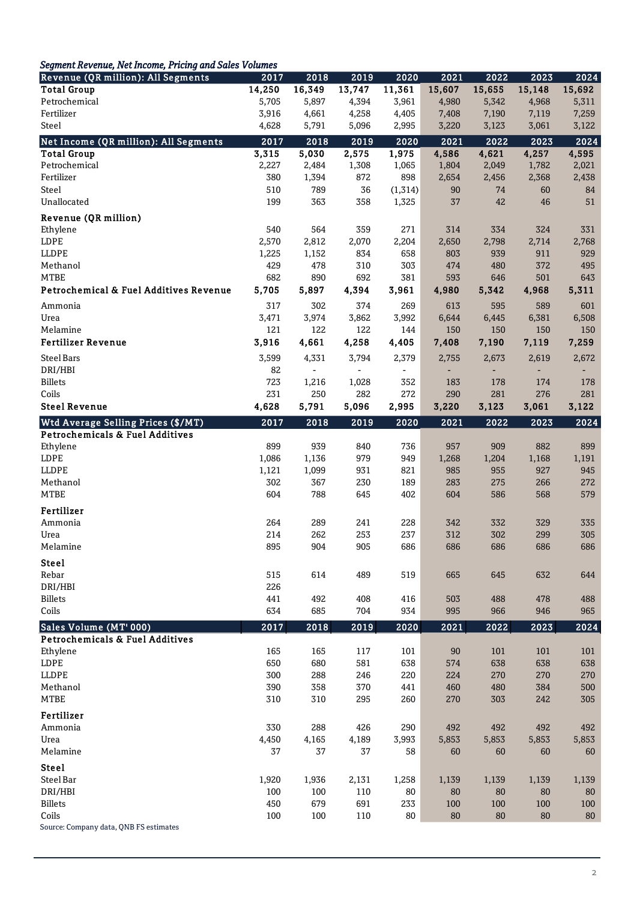## *Segment Revenue, Net Income, Pricing and Sales Volumes*

| <b>Revenue (QR million): All Segments</b>  | 2017   | 2018           | 2019   | 2020           | 2021   | 2022   | 2023   | 2024   |
|--------------------------------------------|--------|----------------|--------|----------------|--------|--------|--------|--------|
| <b>Total Group</b>                         | 14,250 | 16,349         | 13,747 | 11,361         | 15,607 | 15,655 | 15,148 | 15,692 |
| Petrochemical                              | 5,705  | 5,897          | 4,394  | 3,961          | 4,980  | 5,342  | 4,968  | 5,311  |
| Fertilizer                                 | 3,916  | 4,661          | 4,258  | 4,405          | 7,408  | 7,190  | 7,119  | 7,259  |
| Steel                                      | 4,628  | 5,791          | 5,096  | 2,995          | 3,220  | 3,123  | 3,061  | 3,122  |
| Net Income (QR million): All Segments      | 2017   | 2018           | 2019   | 2020           | 2021   | 2022   | 2023   | 2024   |
| <b>Total Group</b>                         | 3,315  | 5,030          | 2,575  | 1,975          | 4,586  | 4,621  | 4,257  | 4,595  |
| Petrochemical                              | 2,227  | 2,484          | 1,308  | 1,065          | 1,804  | 2,049  | 1,782  | 2,021  |
| Fertilizer                                 | 380    | 1,394          | 872    | 898            | 2,654  | 2,456  | 2,368  | 2,438  |
| Steel                                      | 510    | 789            | 36     | (1,314)        | 90     | 74     | 60     | 84     |
| Unallocated                                | 199    | 363            | 358    | 1,325          | 37     | 42     | 46     | 51     |
| Revenue (QR million)                       |        |                |        |                |        |        |        |        |
| Ethylene                                   | 540    | 564            | 359    | 271            | 314    | 334    | 324    | 331    |
| LDPE                                       | 2,570  | 2,812          | 2,070  | 2,204          | 2,650  | 2,798  | 2,714  | 2,768  |
| LLDPE                                      | 1,225  | 1,152          | 834    | 658            | 803    | 939    | 911    | 929    |
| Methanol                                   | 429    | 478            | 310    | 303            | 474    | 480    | 372    | 495    |
| <b>MTBE</b>                                | 682    | 890            | 692    | 381            | 593    | 646    | 501    | 643    |
| Petrochemical & Fuel Additives Revenue     | 5,705  | 5,897          | 4,394  | 3,961          | 4,980  | 5,342  | 4,968  | 5,311  |
| Ammonia                                    | 317    | 302            | 374    | 269            | 613    | 595    | 589    | 601    |
| Urea                                       | 3,471  | 3,974          | 3,862  | 3,992          | 6,644  | 6,445  | 6,381  | 6,508  |
| Melamine                                   | 121    | 122            | 122    | 144            | 150    | 150    | 150    | 150    |
| <b>Fertilizer Revenue</b>                  | 3,916  | 4,661          | 4,258  | 4,405          | 7,408  | 7,190  | 7,119  | 7,259  |
| <b>Steel Bars</b>                          | 3,599  | 4,331          | 3,794  | 2,379          | 2,755  | 2,673  | 2,619  | 2,672  |
| DRI/HBI                                    | 82     | $\blacksquare$ | $\sim$ | $\blacksquare$ |        |        |        |        |
| <b>Billets</b>                             | 723    | 1,216          | 1,028  | 352            | 183    | 178    | 174    | 178    |
| Coils                                      | 231    | 250            | 282    | 272            | 290    | 281    | 276    | 281    |
| <b>Steel Revenue</b>                       | 4,628  | 5,791          | 5,096  | 2,995          | 3,220  | 3,123  | 3,061  | 3,122  |
| Wtd Average Selling Prices (\$/MT)         | 2017   | 2018           | 2019   | 2020           | 2021   | 2022   | 2023   | 2024   |
| <b>Petrochemicals &amp; Fuel Additives</b> |        |                |        |                |        |        |        |        |
| Ethylene                                   | 899    | 939            | 840    | 736            | 957    | 909    | 882    | 899    |
| LDPE                                       | 1,086  | 1,136          | 979    | 949            | 1,268  | 1,204  | 1,168  | 1,191  |
| <b>LLDPE</b>                               | 1,121  | 1,099          | 931    | 821            | 985    | 955    | 927    | 945    |
| Methanol                                   | 302    | 367            | 230    | 189            | 283    | 275    | 266    | 272    |
| <b>MTBE</b>                                | 604    | 788            | 645    | 402            | 604    | 586    | 568    | 579    |
| Fertilizer                                 |        |                |        |                |        |        |        |        |
| Ammonia                                    | 264    | 289            | 241    | 228            | 342    | 332    | 329    | 335    |
| Urea                                       | 214    | 262            | 253    | 237            | 312    | 302    | 299    | 305    |
| Melamine                                   | 895    | 904            | 905    | 686            | 686    | 686    | 686    | 686    |
| Steel                                      |        |                |        |                |        |        |        |        |
| Rebar                                      | 515    | 614            | 489    | 519            | 665    | 645    | 632    | 644    |
| DRI/HBI                                    | 226    |                |        |                |        |        |        |        |
| <b>Billets</b>                             | 441    | 492            | 408    | 416            | 503    | 488    | 478    | 488    |
| Coils                                      | 634    | 685            | 704    | 934            | 995    | 966    | 946    | 965    |
| Sales Volume (MT' 000)                     | 2017   | 2018           | 2019   | 2020           | 2021   | 2022   | 2023   | 2024   |
| <b>Petrochemicals &amp; Fuel Additives</b> |        |                |        |                |        |        |        |        |
| Ethylene                                   | 165    | 165            | 117    | 101            | 90     | 101    | 101    | 101    |
| LDPE                                       | 650    | 680            | 581    | 638            | 574    | 638    | 638    | 638    |
| <b>LLDPE</b>                               | 300    | 288            | 246    | 220            | 224    | 270    | 270    | 270    |
| Methanol                                   | 390    | 358            | 370    | 441            | 460    | 480    | 384    | 500    |
| <b>MTBE</b>                                | 310    | 310            | 295    | 260            | 270    | 303    | 242    | 305    |
| Fertilizer                                 |        |                |        |                |        |        |        |        |
| Ammonia                                    | 330    | 288            | 426    | 290            | 492    | 492    | 492    | 492    |
| Urea                                       | 4,450  | 4,165          | 4,189  | 3,993          | 5,853  | 5,853  | 5,853  | 5,853  |
| Melamine                                   | 37     | 37             | 37     | 58             | 60     | 60     | 60     | 60     |
| <b>Steel</b>                               |        |                |        |                |        |        |        |        |
| Steel Bar                                  | 1,920  | 1,936          | 2,131  | 1,258          | 1,139  | 1,139  | 1,139  | 1,139  |
| DRI/HBI                                    | 100    | 100            | 110    | 80             | 80     | 80     | 80     | 80     |
| <b>Billets</b>                             | 450    | 679            | 691    | 233            | 100    | 100    | 100    | 100    |
| Coils                                      | 100    | 100            | 110    | 80             | 80     | 80     | 80     | 80     |
| Source: Company data, QNB FS estimates     |        |                |        |                |        |        |        |        |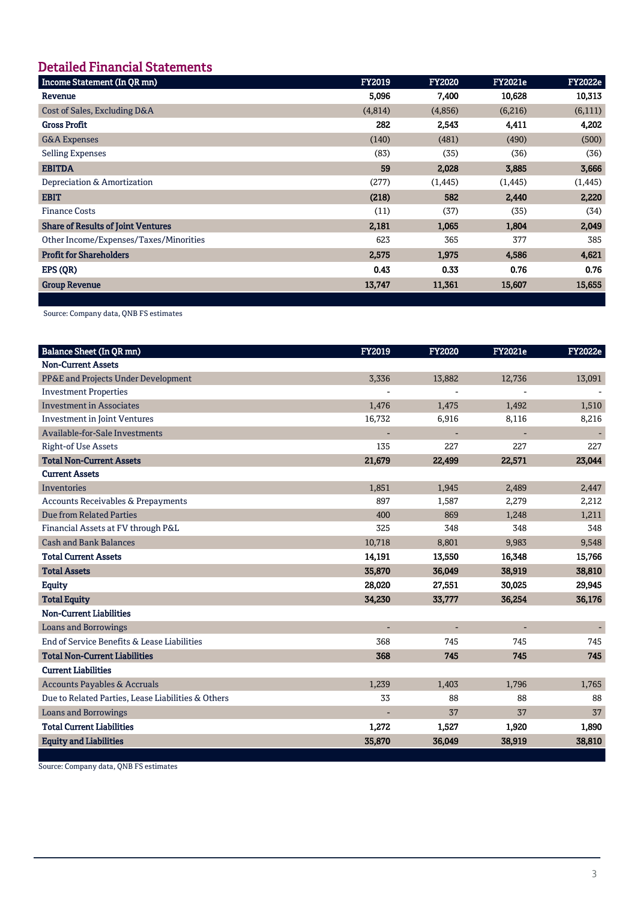# **Detailed Financial Statements**

| <b>FY2022e</b>                                                                                                                                 |
|------------------------------------------------------------------------------------------------------------------------------------------------|
| 10,313                                                                                                                                         |
| (6,111)                                                                                                                                        |
| 4,202                                                                                                                                          |
| (500)                                                                                                                                          |
| (36)                                                                                                                                           |
| 3,666                                                                                                                                          |
| (1, 445)                                                                                                                                       |
| 2,220                                                                                                                                          |
| (34)                                                                                                                                           |
| 2,049                                                                                                                                          |
| 385                                                                                                                                            |
| 4,621                                                                                                                                          |
| 0.76                                                                                                                                           |
| 15,655                                                                                                                                         |
| <b>FY2021e</b><br>10,628<br>(6,216)<br>4,411<br>(490)<br>(36)<br>3,885<br>(1, 445)<br>2,440<br>(35)<br>1,804<br>377<br>4,586<br>0.76<br>15,607 |

Source: Company data, QNB FS estimates

| <b>Balance Sheet (In QR mn)</b>                    | <b>FY2019</b>  | <b>FY2020</b>            | <b>FY2021e</b> | <b>FY2022e</b> |
|----------------------------------------------------|----------------|--------------------------|----------------|----------------|
| <b>Non-Current Assets</b>                          |                |                          |                |                |
| PP&E and Projects Under Development                | 3,336          | 13,882                   | 12,736         | 13,091         |
| <b>Investment Properties</b>                       |                |                          |                |                |
| <b>Investment in Associates</b>                    | 1,476          | 1,475                    | 1,492          | 1,510          |
| <b>Investment in Joint Ventures</b>                | 16,732         | 6,916                    | 8,116          | 8,216          |
| Available-for-Sale Investments                     |                | Ξ                        |                |                |
| <b>Right-of Use Assets</b>                         | 135            | 227                      | 227            | 227            |
| <b>Total Non-Current Assets</b>                    | 21,679         | 22,499                   | 22,571         | 23,044         |
| <b>Current Assets</b>                              |                |                          |                |                |
| <b>Inventories</b>                                 | 1,851          | 1,945                    | 2,489          | 2,447          |
| Accounts Receivables & Prepayments                 | 897            | 1,587                    | 2,279          | 2,212          |
| <b>Due from Related Parties</b>                    | 400            | 869                      | 1,248          | 1,211          |
| Financial Assets at FV through P&L                 | 325            | 348                      | 348            | 348            |
| <b>Cash and Bank Balances</b>                      | 10,718         | 8,801                    | 9,983          | 9,548          |
| <b>Total Current Assets</b>                        | 14,191         | 13,550                   | 16,348         | 15,766         |
| <b>Total Assets</b>                                | 35,870         | 36,049                   | 38,919         | 38,810         |
| <b>Equity</b>                                      | 28,020         | 27,551                   | 30,025         | 29,945         |
| <b>Total Equity</b>                                | 34,230         | 33,777                   | 36,254         | 36,176         |
| <b>Non-Current Liabilities</b>                     |                |                          |                |                |
| <b>Loans and Borrowings</b>                        | $\overline{a}$ | $\overline{\phantom{a}}$ | ÷.             |                |
| End of Service Benefits & Lease Liabilities        | 368            | 745                      | 745            | 745            |
| <b>Total Non-Current Liabilities</b>               | 368            | 745                      | 745            | 745            |
| <b>Current Liabilities</b>                         |                |                          |                |                |
| <b>Accounts Payables &amp; Accruals</b>            | 1,239          | 1,403                    | 1,796          | 1,765          |
| Due to Related Parties, Lease Liabilities & Others | 33             | 88                       | 88             | 88             |
| <b>Loans and Borrowings</b>                        |                | 37                       | 37             | 37             |
| <b>Total Current Liabilities</b>                   | 1,272          | 1,527                    | 1,920          | 1,890          |
| <b>Equity and Liabilities</b>                      | 35,870         | 36,049                   | 38,919         | 38,810         |

Source: Company data, QNB FS estimates